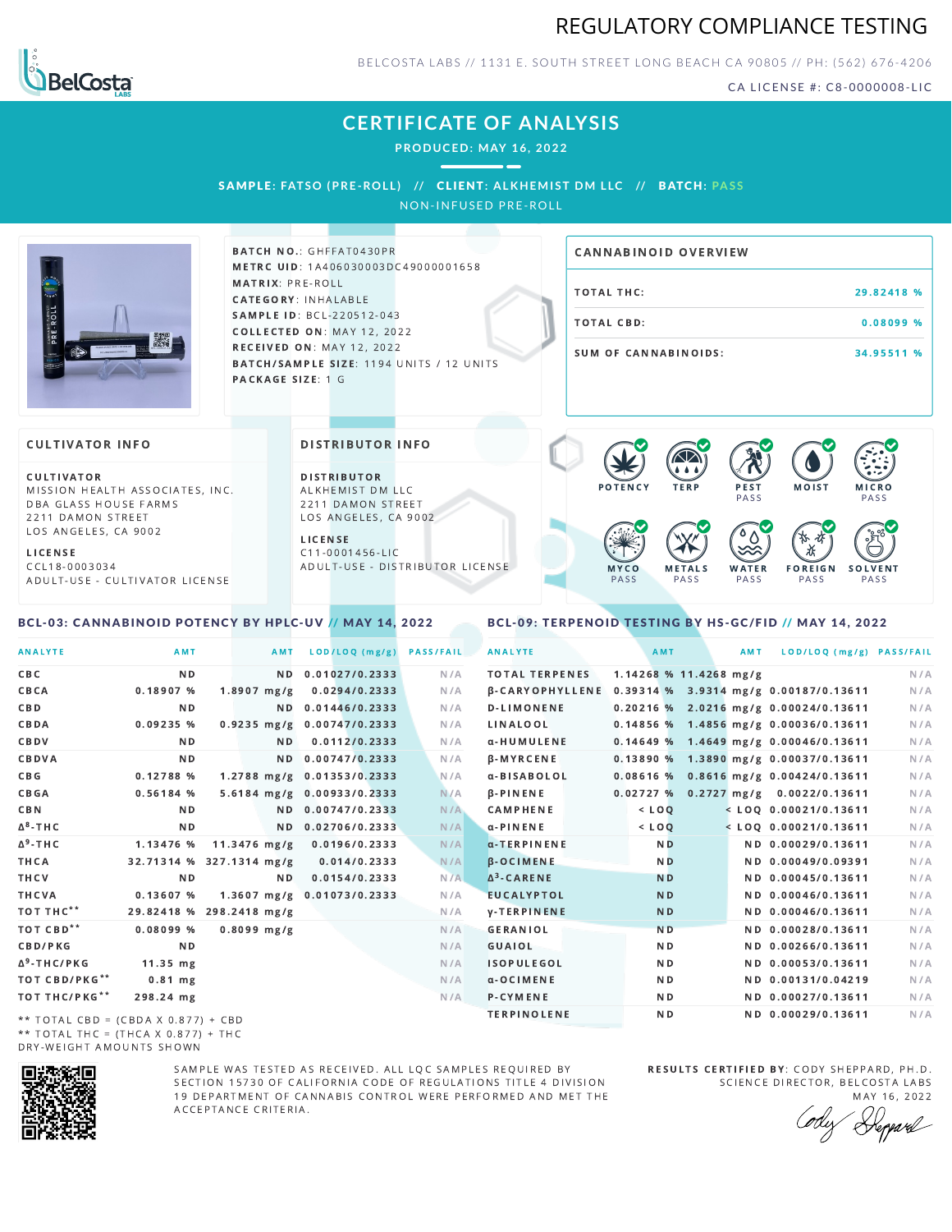



BELCOSTA LABS // 1131 E. SOUTH STREET LONG BEACH C A 90805 // PH: (562) 676-4206

CA LICENSE #: C8-0000008-LIC

# **CERTIFICATE OF ANALYSIS**

**PRODUCED: MAY 16, 2022**

 $\overline{\phantom{a}}$ 

SAMPL E **: FATSO (PRE -ROL L ) //** CL I ENT**: A LKHEMI ST DM L LC //** BATCH**: PA S S** NON-INFUSED PRE-ROLL

BATCH NO.: GHFFAT0430PR

### METRC UID: 1A406030003DC49000001658 MATRIX: PRE-ROLL CATEGORY: INHALABLE SAMPLE ID: BCL-220512-043 COLLECTED ON: MAY 12, 2022 **RECEIVED ON: MAY 12, 2022** BATCH/SAMPLE SIZE: 1194 UNITS / 12 UNITS PACKAGE SIZE: 1 G

# TOTAL THC: 29.82418 % TOTAL CBD: 0.08099 % SUM OF CANNABINOIDS: 34.95511 % CANNABINOID OVERVIEW

### **CULTIVATOR INFO**

CULTIVATOR MISSION HEALTH ASSOCIATES, INC. DBA GLASS HOUSE FARMS 2211 DAMON STREET LOS ANGELES, CA 9002

L I C E N S E C C L 1 8 - 0 0 0 3 0 3 4 A D U L T - U S E - C U L T I V A T O R L I CENSE

<span id="page-0-0"></span>BCL-03: CANNABINOID POTENCY BY HPLC-UV // MAY 14, 2022

DISTRIBUTOR INFO

D I STRIBUTOR ALKHEMIST DM LLC 2211 DAMON STREET LOS ANGELES, CA 9002 L I C E N S E

C 1 1 - 0 0 0 1 4 5 6 - L I C A D U L T - U S E - D I STRI B U T O R LICENSE



<span id="page-0-1"></span>BCL-09: TERPENOID TESTING BY HS-GC/FID // MAY 14, 2022

| <b>ANALYTE</b>                      | AMT                      |                            | AMT | LOD/LOQ (mg/g)             | <b>PASS/FAIL</b> | <b>ANALYTE</b>        | AMT            |                        | AMT | LOD/LOQ (mg/g) PASS/FAIL                              |     |
|-------------------------------------|--------------------------|----------------------------|-----|----------------------------|------------------|-----------------------|----------------|------------------------|-----|-------------------------------------------------------|-----|
| C B C                               | N <sub>D</sub>           |                            |     | ND 0.01027/0.2333          | N/A              | <b>TOTAL TERPENES</b> |                | 1.14268 % 11.4268 mg/g |     |                                                       | N/A |
| CBCA                                | 0.18907%                 | $1.8907$ mg/g              |     | 0.0294/0.2333              | N/A              |                       |                |                        |     | β-CARYOPHYLLENE 0.39314 % 3.9314 mg/g 0.00187/0.13611 | N/A |
| C B D                               | N <sub>D</sub>           |                            |     | ND 0.01446/0.2333          | N/A              | <b>D-LIMONENE</b>     |                |                        |     | $0.20216$ % 2.0216 mg/g 0.00024/0.13611               | N/A |
| CBDA                                | 0.09235%                 |                            |     | 0.9235 mg/g 0.00747/0.2333 | N/A              | LINALOOL              |                |                        |     | 0.14856 % 1.4856 mg/g 0.00036/0.13611                 | N/A |
| CBDV                                | N D                      |                            | ND. | 0.0112/0.2333              | N/A              | α-HUMULENE            |                |                        |     | $0.14649$ % 1.4649 mg/g 0.00046/0.13611               | N/A |
| CBDVA                               | N <sub>D</sub>           |                            |     | ND 0.00747/0.2333          | N/A              | <b>B-MYRCENE</b>      |                |                        |     | 0.13890 % 1.3890 mg/g 0.00037/0.13611                 | N/A |
| C B G                               | 0.12788 %                |                            |     | 1.2788 mg/g 0.01353/0.2333 | N/A              | α-BISABOLOL           |                |                        |     | 0.08616 % 0.8616 mg/g 0.00424/0.13611                 | N/A |
| CBGA                                | 0.56184%                 |                            |     | 5.6184 mg/g 0.00933/0.2333 | N/A              | <b>B-PINENE</b>       |                |                        |     | 0.02727 % 0.2727 mg/g 0.0022/0.13611                  | N/A |
| C B N                               | N <sub>D</sub>           |                            |     | ND 0.00747/0.2333          | N/A              | <b>CAMPHENE</b>       | $<$ $LOO$      |                        |     | $<$ LOQ 0.00021/0.13611                               | N/A |
| ∆ <sup>8</sup> -ТНС                 | N <sub>D</sub>           |                            |     | ND 0.02706/0.2333          | N/A              | α-PINENE              | $<$ LOQ        |                        |     | $<$ LOQ 0.00021/0.13611                               | N/A |
| Δ <sup>9</sup> -ΤΗ C                | 1.13476 %                | $11.3476$ mg/g             |     | 0.0196/0.2333              | N/A              | $\alpha$ -TERPINENE   | N <sub>D</sub> |                        |     | ND 0.00029/0.13611                                    | N/A |
| THCA                                | 32.71314 % 327.1314 mg/g |                            |     | 0.014/0.2333               | N/A              | <b>B-OCIMENE</b>      | N <sub>D</sub> |                        |     | ND 0.00049/0.09391                                    | N/A |
| THCV                                | N <sub>D</sub>           |                            | ND. | 0.0154/0.2333              | N/A              | $\Delta^3$ -CARENE    | <b>ND</b>      |                        |     | ND 0.00045/0.13611                                    | N/A |
| THCVA                               | 0.13607%                 | 1.3607 mg/g 0.01073/0.2333 |     |                            | N/A              | <b>EUCALYPTOL</b>     | N <sub>D</sub> |                        |     | ND 0.00046/0.13611                                    | N/A |
| тот тнс**                           | 29.82418 % 298.2418 mg/g |                            |     |                            | N/A              | <b>y-TERPINENE</b>    | <b>ND</b>      |                        |     | ND 0.00046/0.13611                                    | N/A |
| тот свр**                           | 0.08099%                 | $0.8099$ mg/g              |     |                            | N/A              | <b>GERANIOL</b>       | N <sub>D</sub> |                        |     | ND 0.00028/0.13611                                    | N/A |
| <b>CBD/PKG</b>                      | N <sub>D</sub>           |                            |     |                            | N/A              | GUAIOL                | N <sub>D</sub> |                        |     | ND 0.00266/0.13611                                    | N/A |
| Δ <sup>9</sup> -THC/PKG             | $11.35$ mg               |                            |     |                            | N/A              | <b>ISOPULEGOL</b>     | ND.            |                        |     | ND 0.00053/0.13611                                    | N/A |
| ТОТ СВD/РКG**                       | $0.81$ mg                |                            |     |                            | N/A              | $\alpha$ -OCIMENE     | N <sub>D</sub> |                        |     | ND 0.00131/0.04219                                    | N/A |
| ТОТ ТНС/РКG**                       | 298.24 mg                |                            |     |                            | N/A              | P-CYMENE              |                | N <sub>D</sub>         |     | ND 0.00027/0.13611                                    | N/A |
| ** IOIAL CRD - (CRDA V 0 077) L CRD |                          |                            |     |                            |                  | <b>TERPINOLENE</b>    | N <sub>D</sub> |                        |     | ND 0.00029/0.13611                                    | N/A |

\*\* TOTAL CBD = (CBDA X 0.877) + CBD \*\* TOTAL THC =  $(THCA \times 0.877) + THC$ DRY-WEIGHT AMOUNTS SHOWN



SAMPLE WAS TESTED AS RECEIVED. ALL LOC SAMPLES REQUIRED BY SECTION 15730 OF CALIFORNIA CODE OF REGULATIONS TITLE 4 DIVISION 19 DEPARTMENT OF CANNABIS CONTROL WERE PERFORMED AND MET THE A C C E P T A N C E C R I T E R I A.

RESULTS CERTIFIED BY: CODY SHEPPARD, PH.D. SCIENCE DIRECTOR, BELCOSTA LABS

MAY 16, 2022 Deppard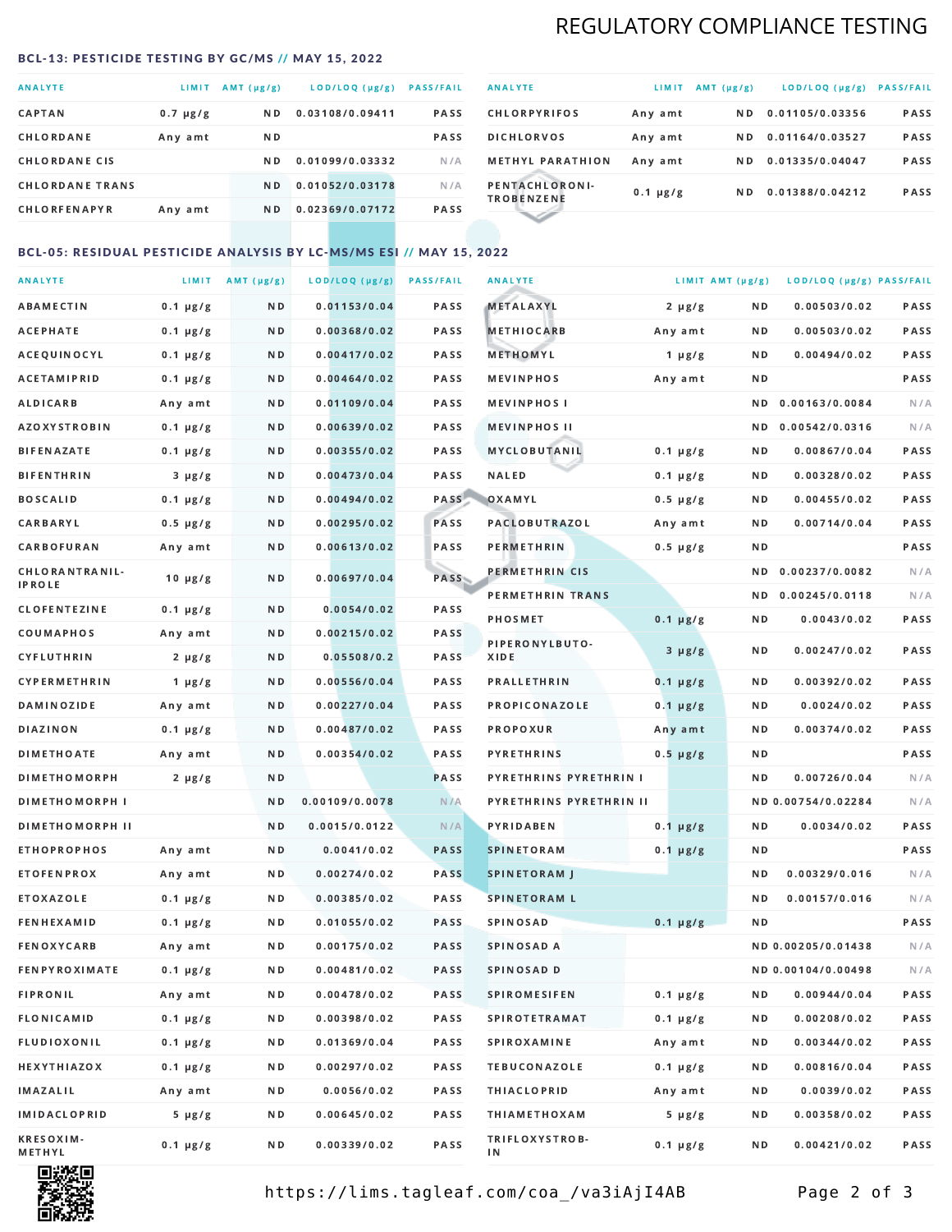# REGULATORY COMPLIANCE TESTING

#### <span id="page-1-0"></span>BCL-13: PESTICIDE TESTING BY GC/MS // MAY 15, 2022

| <b>ANALYTE</b>         | LIMIT         | AMT (µg/g)     | LOD/LOQ (µg/g)  | <b>PASS/FAIL</b> |
|------------------------|---------------|----------------|-----------------|------------------|
| <b>CAPTAN</b>          | $0.7 \mu g/g$ | N <sub>D</sub> | 0.03108/0.09411 | <b>PASS</b>      |
| CHLORDANE              | Any amt       | N D            |                 | <b>PASS</b>      |
| <b>CHLORDANE CIS</b>   |               | ND.            | 0.01099/0.03332 | N/A              |
| <b>CHLORDANE TRANS</b> |               | N <sub>D</sub> | 0.01052/0.03178 | N/A              |
| <b>CHLORFENAPYR</b>    | Any amt       | N D            | 0.02369/0.07172 | <b>PASS</b>      |

| <b>ANALYTE</b>                      | LIMIT         | AMT (µg/g) | LOD/LOQ (µg/g)  | <b>PASS/FAIL</b> |
|-------------------------------------|---------------|------------|-----------------|------------------|
| <b>CHLORPYRIFOS</b>                 | Any amt       | N D        | 0.01105/0.03356 | <b>PASS</b>      |
| <b>DICHLORVOS</b>                   | Any amt       | N D        | 0.01164/0.03527 | <b>PASS</b>      |
| <b>METHYL PARATHION</b>             | Any amt       | ND.        | 0.01335/0.04047 | PASS             |
| PENTACHLORONI-<br><b>TROBENZENE</b> | $0.1 \mu g/g$ | ND.        | 0.01388/0.04212 | <b>PASS</b>      |
|                                     |               |            |                 |                  |

## BCL-05: RESIDUAL PESTICIDE ANALYSIS BY LC-MS/MS ESI // MAY 15, 2022

| <b>ANALYTE</b>             |               | LIMIT AMT $(\mu g/g)$ | LOD/LOQ (µg/g) | <b>PASS/FAIL</b> | <b>ANALYTE</b>          | LIMIT AMT (µg/g) |     | LOD/LOQ (µg/g) PASS/FAIL |      |
|----------------------------|---------------|-----------------------|----------------|------------------|-------------------------|------------------|-----|--------------------------|------|
| ABAMECTIN                  | $0.1 \mu g/g$ | N D                   | 0.01153/0.04   | PASS             | <b>METALAXYL</b>        | $2 \mu g/g$      | N D | 0.00503/0.02             | PASS |
| <b>ACEPHATE</b>            | $0.1 \mu g/g$ | N D                   | 0.00368/0.02   | PASS             | <b>METHIOCARB</b>       | Any amt          | N D | 0.00503/0.02             | PASS |
| ACEQUINOCYL                | $0.1 \mu g/g$ | N D                   | 0.00417/0.02   | PASS             | METHOMYL                | $1 \mu g/g$      | N D | 0.00494/0.02             | PASS |
| ACETAMIPRID                | $0.1 \mu g/g$ | N D                   | 0.00464/0.02   | PASS             | <b>MEVINPHOS</b>        | Any amt          | N D |                          | PASS |
| <b>ALDICARB</b>            | Any amt       | N D                   | 0.01109/0.04   | <b>PASS</b>      | <b>MEVINPHOSI</b>       |                  | N D | 0.00163/0.0084           | N/A  |
| AZOXYSTROBIN               | $0.1 \mu g/g$ | N D                   | 0.00639/0.02   | PASS             | <b>MEVINPHOS II</b>     |                  | N D | 0.00542/0.0316           | N/A  |
| <b>BIFENAZATE</b>          | $0.1 \mu g/g$ | N D                   | 0.00355/0.02   | PASS             | <b>MYCLOBUTANIL</b>     | $0.1 \mu g/g$    | N D | 0.00867/0.04             | PASS |
| <b>BIFENTHRIN</b>          | $3 \mu g/g$   | N D                   | 0.00473/0.04   | PASS             | <b>NALED</b>            | $0.1 \mu g/g$    | N D | 0.00328/0.02             | PASS |
| <b>BOSCALID</b>            | $0.1 \mu g/g$ | N D                   | 0.00494/0.02   | PASS             | OXAMYL                  | $0.5 \mu g/g$    | N D | 0.00455/0.02             | PASS |
| CARBARYL                   | $0.5 \mu g/g$ | N D                   | 0.00295/0.02   | PASS             | PACLOBUTRAZOL           | Any amt          | N D | 0.00714/0.04             | PASS |
| CARBOFURAN                 | Any amt       | N D                   | 0.00613/0.02   | PASS             | PERMETHRIN              | $0.5 \mu g/g$    | N D |                          | PASS |
| CHLORANTRANIL-             | $10 \mu g/g$  | N D                   | 0.00697/0.04   | PASS             | PERMETHRIN CIS          |                  | N D | 0.00237/0.0082           | N/A  |
| IPROLE                     |               |                       |                |                  | PERMETHRIN TRANS        |                  |     | ND 0.00245/0.0118        | N/A  |
| <b>CLOFENTEZINE</b>        | $0.1 \mu g/g$ | ND.                   | 0.0054/0.02    | PASS             | <b>PHOSMET</b>          | $0.1 \mu g/g$    | N D | 0.0043/0.02              | PASS |
| COUMAPHOS                  | Any amt       | N D                   | 0.00215/0.02   | <b>PASS</b>      | PIPERONYLBUTO-          | $3 \mu g/g$      | N D | 0.00247/0.02             | PASS |
| CYFLUTHRIN                 | $2 \mu g/g$   | ND.                   | 0.05508/0.2    | PASS             | XIDE                    |                  |     |                          |      |
| CYPERMETHRIN               | $1 \mu g/g$   | N D                   | 0.00556/0.04   | PASS             | <b>PRALLETHRIN</b>      | $0.1 \mu g/g$    | N D | 0.00392/0.02             | PASS |
| <b>DAMINOZIDE</b>          | Any amt       | N D                   | 0.00227/0.04   | PASS             | PROPICONAZOLE           | $0.1 \mu g/g$    | N D | 0.0024/0.02              | PASS |
| <b>DIAZINON</b>            | $0.1 \mu g/g$ | N D                   | 0.00487/0.02   | <b>PASS</b>      | PROPOXUR                | Any amt          | N D | 0.00374/0.02             | PASS |
| <b>DIMETHOATE</b>          | Any amt       | N D                   | 0.00354/0.02   | PASS             | <b>PYRETHRINS</b>       | $0.5 \mu g/g$    | N D |                          | PASS |
| <b>DIMETHOMORPH</b>        | $2 \mu g/g$   | N D                   |                | PASS             | PYRETHRINS PYRETHRIN I  |                  | ND. | 0.00726/0.04             | N/A  |
| <b>DIMETHOMORPH I</b>      |               | N D                   | 0.00109/0.0078 | N/A              | PYRETHRINS PYRETHRIN II |                  |     | ND 0.00754/0.02284       | N/A  |
| <b>DIMETHOMORPH II</b>     |               | N D                   | 0.0015/0.0122  | N/A              | <b>PYRIDABEN</b>        | $0.1 \mu g/g$    | N D | 0.0034/0.02              | PASS |
| <b>ETHOPROPHOS</b>         | Any amt       | N D                   | 0.0041/0.02    | <b>PASS</b>      | <b>SPINETORAM</b>       | $0.1 \mu g/g$    | N D |                          | PASS |
| <b>ETOFENPROX</b>          | Any amt       | N D                   | 0.00274/0.02   | <b>PASS</b>      | <b>SPINETORAM J</b>     |                  | N D | 0.00329/0.016            | N/A  |
| ETOXAZOLE                  | $0.1 \mu g/g$ | N D                   | 0.00385/0.02   | <b>PASS</b>      | <b>SPINETORAM L</b>     |                  | ND  | 0.00157/0.016            | N/A  |
| <b>FENHEXAMID</b>          | $0.1 \mu g/g$ | N D                   | 0.01055/0.02   | <b>PASS</b>      | SPINOSAD                | $0.1 \mu g/g$    | N D |                          | PASS |
| <b>FENOXYCARB</b>          | Any amt       | N D                   | 0.00175/0.02   | PASS             | SPINOSAD A              |                  |     | ND 0.00205/0.01438       | N/A  |
| <b>FENPYROXIMATE</b>       | $0.1 \mu g/g$ | N D                   | 0.00481/0.02   | PASS             | SPINOSAD D              |                  |     | ND 0.00104/0.00498       | N/A  |
| <b>FIPRONIL</b>            | Any amt       | N D                   | 0.00478/0.02   | PASS             | <b>SPIROMESIFEN</b>     | $0.1 \mu g/g$    | N D | 0.00944/0.04             | PASS |
| <b>FLONICAMID</b>          | $0.1 \mu g/g$ | N D                   | 0.00398/0.02   | PASS             | <b>SPIROTETRAMAT</b>    | $0.1 \mu g/g$    | N D | 0.00208/0.02             | PASS |
| FLUDIOXONIL                | $0.1 \mu g/g$ | N D                   | 0.01369/0.04   | PASS             | <b>SPIROXAMINE</b>      | Any amt          | N D | 0.00344/0.02             | PASS |
| HEXYTHIAZOX                | $0.1 \mu g/g$ | N D                   | 0.00297/0.02   | PASS             | <b>TEBUCONAZOLE</b>     | $0.1 \mu g/g$    | N D | 0.00816/0.04             | PASS |
| IMAZALIL                   | Any amt       | N D                   | 0.0056/0.02    | PASS             | <b>THIACLOPRID</b>      | Any amt          | N D | 0.0039/0.02              | PASS |
| IMIDACLOPRID               | $5 \mu g/g$   | N D                   | 0.00645/0.02   | PASS             | <b>THIAMETHOXAM</b>     | $5 \mu g/g$      | N D | 0.00358/0.02             | PASS |
| <b>KRESOXIM-</b><br>METHYL | $0.1 \mu g/g$ | N D                   | 0.00339/0.02   | PASS             | TRIFLOXYSTROB-<br>ΙN    | $0.1 \mu g/g$    | N D | 0.00421/0.02             | PASS |